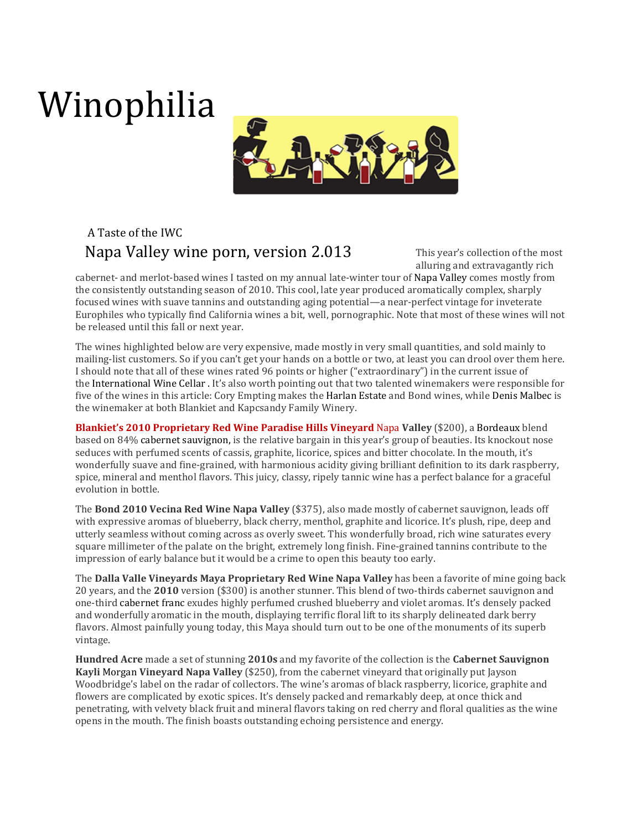## Winophilia



## A Taste of the IWC Napa Valley wine porn, version 2.013

This year's collection of the most alluring and extravagantly rich

cabernet- and merlot-based wines I tasted on my annual late-winter tour of Napa Valley comes mostly from the consistently outstanding season of 2010. This cool, late year produced aromatically complex, sharply focused wines with suave tannins and outstanding aging potential—a near-perfect vintage for inveterate Europhiles who typically find California wines a bit, well, pornographic. Note that most of these wines will not be released until this fall or next year.

The wines highlighted below are very expensive, made mostly in very small quantities, and sold mainly to mailing-list customers. So if you can't get your hands on a bottle or two, at least you can drool over them here. I should note that all of these wines rated 96 points or higher ("extraordinary") in the current issue of the International Wine Cellar . It's also worth pointing out that two talented winemakers were responsible for five of the wines in this article: Cory Empting makes the Harlan Estate and Bond wines, while Denis Malbec is the winemaker at both Blankiet and Kapcsandy Family Winery.

Blankiet's 2010 Proprietary Red Wine Paradise Hills Vineyard Napa Valley (\$200), a Bordeaux blend based on 84% cabernet sauvignon, is the relative bargain in this year's group of beauties. Its knockout nose seduces with perfumed scents of cassis, graphite, licorice, spices and bitter chocolate. In the mouth, it's wonderfully suave and fine-grained, with harmonious acidity giving brilliant definition to its dark raspberry, spice, mineral and menthol flavors. This juicy, classy, ripely tannic wine has a perfect balance for a graceful evolution in bottle.

The Bond 2010 Vecina Red Wine Napa Valley (\$375), also made mostly of cabernet sauvignon, leads off with expressive aromas of blueberry, black cherry, menthol, graphite and licorice. It's plush, ripe, deep and utterly seamless without coming across as overly sweet. This wonderfully broad, rich wine saturates every square millimeter of the palate on the bright, extremely long finish. Fine-grained tannins contribute to the impression of early balance but it would be a crime to open this beauty too early.

The Dalla Valle Vineyards Maya Proprietary Red Wine Napa Valley has been a favorite of mine going back 20 years, and the 2010 version (\$300) is another stunner. This blend of two-thirds cabernet sauvignon and one-third cabernet franc exudes highly perfumed crushed blueberry and violet aromas. It's densely packed and wonderfully aromatic in the mouth, displaying terrific floral lift to its sharply delineated dark berry flavors. Almost painfully young today, this Maya should turn out to be one of the monuments of its superb vintage.

Hundred Acre made a set of stunning 2010s and my favorite of the collection is the Cabernet Sauvignon Kayli Morgan Vineyard Napa Valley (\$250), from the cabernet vineyard that originally put Jayson Woodbridge's label on the radar of collectors. The wine's aromas of black raspberry, licorice, graphite and flowers are complicated by exotic spices. It's densely packed and remarkably deep, at once thick and penetrating, with velvety black fruit and mineral flavors taking on red cherry and floral qualities as the wine opens in the mouth. The finish boasts outstanding echoing persistence and energy.